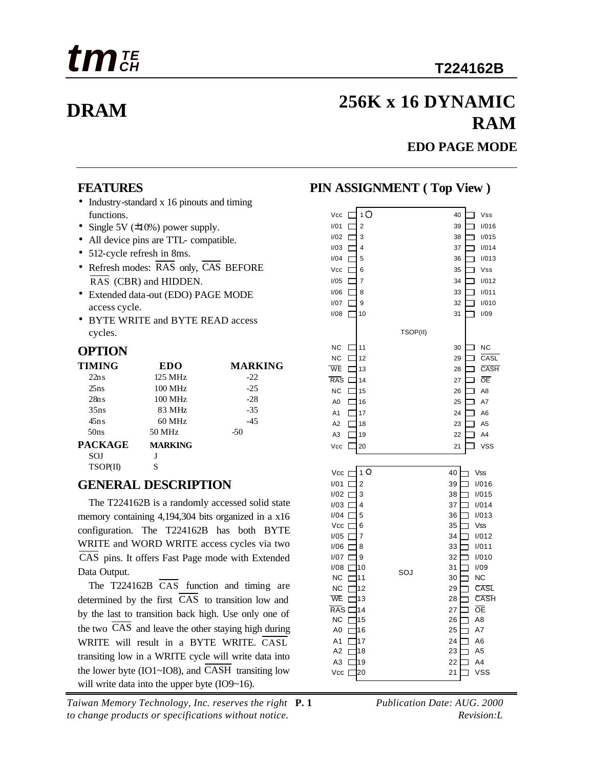# **DRAM 256K x 16 DYNAMIC RAM**

#### **EDO PAGE MODE**

#### **FEATURES**

- Industry-standard x 16 pinouts and timing functions.
- Single 5V  $(\pm 10\%)$  power supply.
- All device pins are TTL- compatible.
- 512-cycle refresh in 8ms.
- Refresh modes:  $\overline{RAS}$  only,  $\overline{CAS}$  BEFORE RAS (CBR) and HIDDEN.
- Extended data-out (EDO) PAGE MODE access cycle.
- BYTE WRITE and BYTE READ access cycles.

#### **OPTION**

| TIMING           | <b>EDO</b>     | <b>MARKING</b> |
|------------------|----------------|----------------|
| 22ns             | 125 MHz        | $-22$          |
| 25ns             | 100 MHz        | $-25$          |
| 28ns             | 100 MHz        | $-28$          |
| 35ns             | 83 MHz         | $-35$          |
| 45n <sub>s</sub> | $60$ MHz       | $-45$          |
| 50ns             | 50 MHz         | $-50$          |
| PACKAGE          | <b>MARKING</b> |                |
| SOJ              | J              |                |
| TSOP(II)         | S              |                |
|                  |                |                |

## **GENERAL DESCRIPTION**

The T224162B is a randomly accessed solid state memory containing 4,194,304 bits organized in a x16 configuration. The T224162B has both BYTE WRITE and WORD WRITE access cycles via two CAS pins. It offers Fast Page mode with Extended Data Output.

The T224162B CAS function and timing are determined by the first  $\overline{CAS}$  to transition low and by the last to transition back high. Use only one of the two CAS and leave the other staying high during WRITE will result in a BYTE WRITE. CASL transiting low in a WRITE cycle will write data into the lower byte (IO1~IO8), and  $\overline{CASH}$  transiting low will write data into the upper byte (IO9~16).

*Taiwan Memory Technology, Inc. reserves the right* **P. 1** *Publication Date: AUG. 2000 to change products or specifications without notice. Revision:L*

#### **PIN ASSIGNMENT ( Top View )**

| O<br>Vcc<br>1<br>I/01<br>$\overline{2}$<br>Г<br>1/02<br>3<br>Г<br>1/03<br>4<br>Г<br>I/04<br>5<br>Г<br>Vcc<br>6<br>Г<br>1/05<br>7<br>Г<br>I/O6<br>8<br>L<br>I/07<br>9<br>Г<br>1/08<br>10<br>I                                                                                                                                                                                             | TSOP(II) | 40<br>Vss<br>39<br>I/016<br>38<br>I/015<br>37<br>I/014<br>36<br>I/013<br>35<br>Vss<br>34<br>I/012<br>33<br>I/011<br>32<br>I/010<br>31<br>1/09                                                                                                                                    |
|------------------------------------------------------------------------------------------------------------------------------------------------------------------------------------------------------------------------------------------------------------------------------------------------------------------------------------------------------------------------------------------|----------|----------------------------------------------------------------------------------------------------------------------------------------------------------------------------------------------------------------------------------------------------------------------------------|
| <b>NC</b><br>11<br>Г<br>NC<br>12<br>Г<br>WE<br>13<br>Г<br><b>RAS</b><br>14<br>Н<br>ΝC<br>15<br>Г<br>A <sub>0</sub><br>16<br>Г<br>A <sub>1</sub><br>17<br>L<br>A <sub>2</sub><br>18<br>A3<br>19<br>ı<br>Vcc<br>20<br>l                                                                                                                                                                    |          | NC<br>30<br>CASL<br>29<br>CASH<br>28<br>ŌΕ<br>27<br>A8<br>26<br>A7<br>25<br>24<br>A <sub>6</sub><br>23<br>A <sub>5</sub><br>22<br>A4<br>21<br>VSS                                                                                                                                |
| O<br>Vcc<br>1<br>Г<br>I/O1<br>2<br>Г<br>1/02<br>3<br>Г<br>1/03<br>4<br>С<br>1/04<br>5<br>I<br>Vcc<br>6<br>Г<br>1/05<br>7<br>Г<br>1/06<br>8<br>Г<br>1/07<br>9<br>L<br>1/08<br>10<br>Г<br>NC<br>11<br>Г<br>NC<br>12<br>I<br>WE<br>13<br>Г<br>$\overline{\text{RAS}}$ [<br>14<br>NC<br>15<br>Г<br>A <sub>0</sub><br>16<br>Г<br>A1<br>17<br>I<br>A2<br>18<br>Г<br>A3<br>19<br>Vcc<br>20<br>I | SOJ      | <b>Vss</b><br>40<br>39<br>I/016<br>38<br>I/015<br>37<br>I/014<br>36<br>I/013<br>35<br>Vss<br>34<br>I/012<br>33<br>I/011<br>I/010<br>32<br>1/09<br>31<br>30<br>NC<br>CASL<br>29<br>CASH<br>28<br>ᅊ<br>27<br>26<br>A8<br>A7<br>25<br>24<br>A6<br>A5<br>23<br>A4<br>22<br>21<br>vss |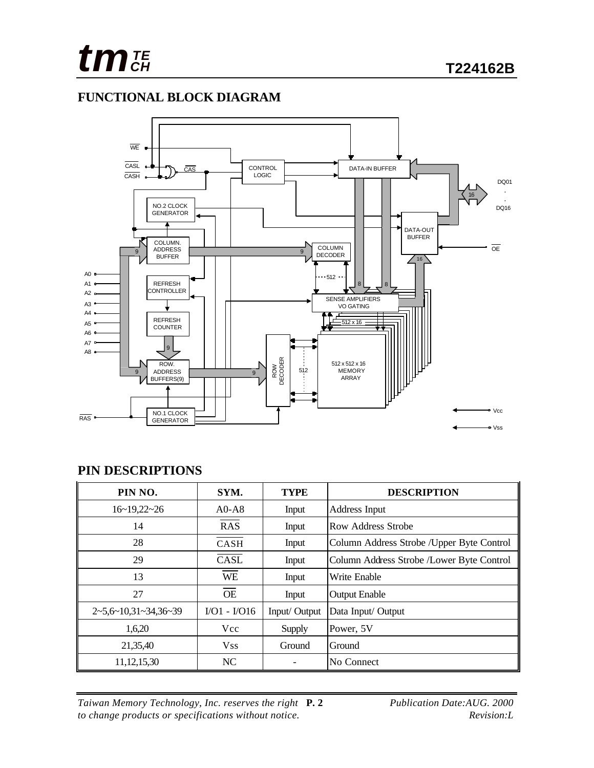# **FUNCTIONAL BLOCK DIAGRAM**



| PIN NO.                        | SYM.          | <b>TYPE</b>   | <b>DESCRIPTION</b>                         |
|--------------------------------|---------------|---------------|--------------------------------------------|
| $16 - 19,22 - 26$              | $A0-A8$       | Input         | Address Input                              |
| 14                             | <b>RAS</b>    | Input         | Row Address Strobe                         |
| 28                             | <b>CASH</b>   | Input         | Column Address Strobe / Upper Byte Control |
| 29                             | CASL          | Input         | Column Address Strobe /Lower Byte Control  |
| 13                             | <b>WE</b>     | Input         | <b>Write Enable</b>                        |
| 27                             | <b>OE</b>     | Input         | <b>Output Enable</b>                       |
| $2 - 5.6 - 10.31 - 34.36 - 39$ | $IO1 - I/O16$ | Input/ Output | Data Input/ Output                         |
| 1,6,20                         | Vcc           | Supply        | Power, 5V                                  |
| 21,35,40                       | <b>Vss</b>    | Ground        | Ground                                     |
| 11, 12, 15, 30                 | NC            |               | No Connect                                 |

## **PIN DESCRIPTIONS**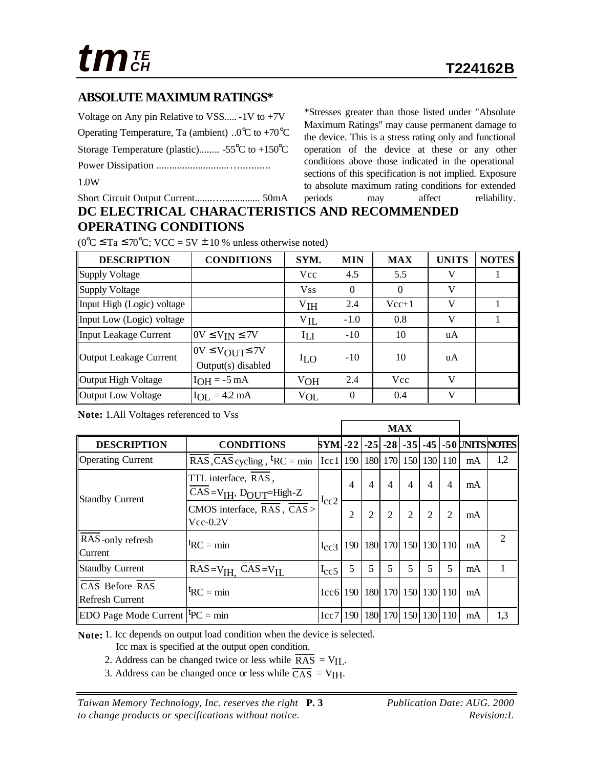# **ABSOLUTE MAXIMUM RATINGS\***

Voltage on Any pin Relative to VSS..... -1V to +7V

Operating Temperature, Ta (ambient) . $0^{\circ}C$  to +70 $^{\circ}C$ 

Storage Temperature (plastic)........ -55°C to +150°C

Power Dissipation ............................…...........

1.0W

Short Circuit Output Current.......…............... 50mA

#### **DC ELECTRICAL CHARACTERISTICS AND RECOMMENDED OPERATING CONDITIONS**

\*Stresses greater than those listed under "Absolute Maximum Ratings" may cause permanent damage to the device. This is a stress rating only and functional operation of the device at these or any other conditions above those indicated in the operational sections of this specification is not implied. Exposure to absolute maximum rating conditions for extended periods may affect reliability.

 $(0^{\circ}C \leq Ta \leq 70^{\circ}C$ ; VCC = 5V  $\pm$  10 % unless otherwise noted)

| <b>DESCRIPTION</b>           | <b>CONDITIONS</b>                                      | SYM.            | <b>MIN</b> | <b>MAX</b> | <b>UNITS</b> | <b>NOTES</b> |
|------------------------------|--------------------------------------------------------|-----------------|------------|------------|--------------|--------------|
| <b>Supply Voltage</b>        |                                                        | <b>Vcc</b>      | 4.5        | 5.5        | V            |              |
| <b>Supply Voltage</b>        |                                                        | <b>Vss</b>      | $\Omega$   | $\theta$   | V            |              |
| Input High (Logic) voltage   |                                                        | V <sub>IH</sub> | 2.4        | $Vec+1$    | V            |              |
| Input Low (Logic) voltage    |                                                        | ${\rm V_{IL}}$  | $-1.0$     | 0.8        | V            |              |
| <b>Input Leakage Current</b> | $0V \leq V_{IN} \leq 7V$                               | $I_{LI}$        | $-10$      | 10         | uA           |              |
| Output Leakage Current       | $0V \leq V_{\text{OUT}} \leq 7V$<br>Output(s) disabled | $I_{LO}$        | $-10$      | 10         | uA           |              |
| Output High Voltage          | $IOH = -5 mA$                                          | VOH             | 2.4        | Vcc        | $\mathbf{V}$ |              |
| Output Low Voltage           | $I_{OL}$ = 4.2 mA                                      | $V_{OL}$        | $\Omega$   | 0.4        | V            |              |

**Note:** 1.All Voltages referenced to Vss

|                                                           |                                                 |                           |                |                | <b>MAX</b>     |                |                     |                |    |                                          |
|-----------------------------------------------------------|-------------------------------------------------|---------------------------|----------------|----------------|----------------|----------------|---------------------|----------------|----|------------------------------------------|
| <b>DESCRIPTION</b>                                        | <b>CONDITIONS</b>                               | SYMI-221                  |                |                |                |                |                     |                |    | $-25$ $-28$ $-35$ $-45$ $-50$ UNITSNOTES |
| <b>Operating Current</b>                                  | RAS, CAS cycling, ${}^t$ RC = min               | $ Icc1 $ 190              |                |                |                |                | 180 170 150 130 110 |                | mA | 1,2                                      |
| <b>Standby Current</b>                                    | TTL interface, RAS,<br>$CAS = VIH, DOUT=High-Z$ | $1_{\rm CC}$              | $\overline{4}$ | $\overline{4}$ | $\overline{4}$ | 4              | $\overline{4}$      | 4              | mA |                                          |
|                                                           | CMOS interface, RAS, CAS ><br>$Vec-0.2V$        |                           | $\overline{c}$ | $\overline{2}$ | $\overline{2}$ | $\overline{2}$ | $\overline{2}$      | $\overline{2}$ | mA |                                          |
| RAS-only refresh<br>Current                               | ${}^{\text{t}}\text{RC} = \min$                 | $I_{CC}$ 3                | 190            |                |                |                | 180 170 150 130 10  |                | mA | $\mathcal{D}_{\mathcal{L}}$              |
| Standby Current                                           | $RAS = V_{HH}$ $CAS = V_{H}$                    | $I_{\rm CC}$ 5            | 5              | 5              | 5              | 5              | 5                   | 5              | mA |                                          |
| <b>CAS Before RAS</b><br>Refresh Current                  | ${}^{\mathrm{L}}\mathrm{RC} = \min$             | lcc6 190                  |                |                | 180 170        |                | 150 130 110         |                | mA |                                          |
| <b>EDO</b> Page Mode Current $^{\text{t}}PC = \text{min}$ |                                                 | $\operatorname{Icc}7$ 190 |                |                | 180 170        |                | 150 130 110         |                | mA | 1,3                                      |

**Note:** 1. Icc depends on output load condition when the device is selected.

Icc max is specified at the output open condition.

2. Address can be changed twice or less while  $\overline{RAS} = V_{II}$ .

3. Address can be changed once or less while  $\overline{CAS} = V_{\text{IH}}$ .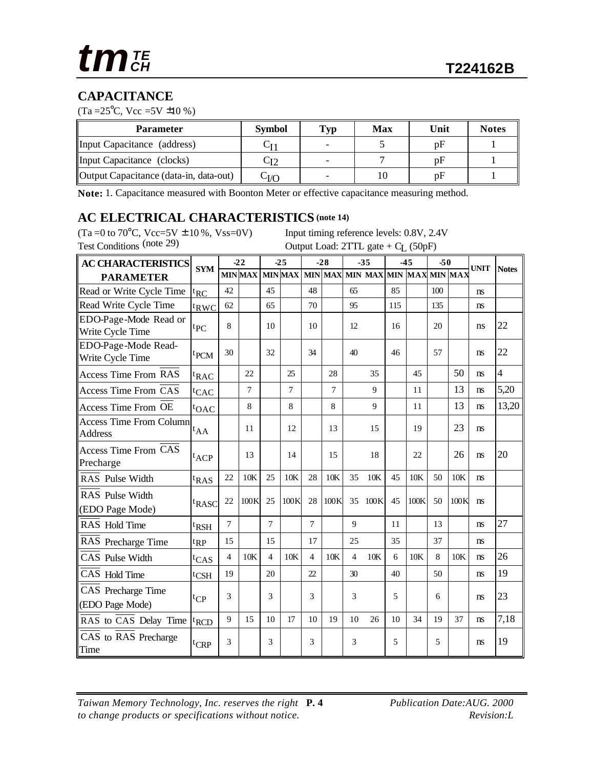# **CAPACITANCE**

 $(Ta = 25^{\circ}C, Vcc = 5V \pm 10 \%)$ 

| <b>Parameter</b>                       | <b>Symbol</b> | Typ | Max | Unit | <b>Notes</b> |
|----------------------------------------|---------------|-----|-----|------|--------------|
| Input Capacitance (address)            |               |     |     | pF   |              |
| Input Capacitance (clocks)             | -12           |     |     | pF   |              |
| Output Capacitance (data-in, data-out) | $\cup$ I/O    |     |     | pF   |              |

**Note:** 1. Capacitance measured with Boonton Meter or effective capacitance measuring method.

## **AC ELECTRICAL CHARACTERISTICS (note 14)**

 $(Ta = 0 \text{ to } 70^{\circ}\text{C}, \text{ Vcc} = 5\text{V} \pm 10 \%, \text{ Vss} = 0\text{V})$  Input timing reference levels: 0.8V, 2.4V<br>Test Conditions (note 29) Output Load: 2TTL gate LC (50pE)

| Test Conditions (note 29)                        |                    |                |                |                |       |                |                |                | Output Load: $2TTL$ gate + $C_L$ (50pF)           |     |       |       |      |               |                |
|--------------------------------------------------|--------------------|----------------|----------------|----------------|-------|----------------|----------------|----------------|---------------------------------------------------|-----|-------|-------|------|---------------|----------------|
| <b>AC CHARACTERISTICS</b>                        | <b>SYM</b>         |                | $-22$          |                | $-25$ |                | $-28$          |                | $-35$                                             |     | $-45$ | $-50$ |      | <b>UNIT</b>   | <b>Notes</b>   |
| <b>PARAMETER</b>                                 |                    |                | <b>MIN MAX</b> |                |       |                |                |                | MIN MAX   MIN MAX   MIN MAX   MIN   MAX MIN   MAX |     |       |       |      |               |                |
| Read or Write Cycle Time                         | ${}^t$ RC          | 42             |                | 45             |       | 48             |                | 65             |                                                   | 85  |       | 100   |      | <sub>ns</sub> |                |
| Read Write Cycle Time                            | ${}^t$ RWC         | 62             |                | 65             |       | 70             |                | 95             |                                                   | 115 |       | 135   |      | <sub>ns</sub> |                |
| EDO-Page-Mode Read or<br>Write Cycle Time        | $t_{PC}$           | 8              |                | 10             |       | 10             |                | 12             |                                                   | 16  |       | 20    |      | ns            | 22             |
| <b>EDO-Page-Mode Read-</b><br>Write Cycle Time   | <sup>t</sup> PCM   | 30             |                | 32             |       | 34             |                | 40             |                                                   | 46  |       | 57    |      | ns            | 22             |
| Access Time From RAS                             | ${}^t$ RAC         |                | 22             |                | 25    |                | 28             |                | 35                                                |     | 45    |       | 50   | ns            | $\overline{4}$ |
| <b>Access Time From CAS</b>                      | ${}^t$ CAC         |                | $\overline{7}$ |                | 7     |                | $\overline{7}$ |                | 9                                                 |     | 11    |       | 13   | ns            | 5,20           |
| <b>Access Time From OE</b>                       | $t_{OAC}$          |                | 8              |                | 8     |                | 8              |                | 9                                                 |     | 11    |       | 13   | ns            | 13,20          |
| <b>Access Time From Column</b><br><b>Address</b> | $t_{AA}$           |                | 11             |                | 12    |                | 13             |                | 15                                                |     | 19    |       | 23   | ns            |                |
| <b>Access Time From CAS</b><br>Precharge         | $t_{\rm ACP}$      |                | 13             |                | 14    |                | 15             |                | 18                                                |     | 22    |       | 26   | ns            | 20             |
| RAS Pulse Width                                  | ${}^tRAS$          | 22             | 10K            | 25             | 10K   | 28             | 10K            | 35             | 10K                                               | 45  | 10K   | 50    | 10K  | <sub>ns</sub> |                |
| RAS Pulse Width<br>(EDO Page Mode)               | <sup>t</sup> RASC  | 22             | 100K           | 25             | 100K  | 28             | 100K           | 35             | 100K                                              | 45  | 100K  | 50    | 100K | ns            |                |
| RAS Hold Time                                    | $t$ <sub>RSH</sub> | $\overline{7}$ |                | 7              |       | $\overline{7}$ |                | 9              |                                                   | 11  |       | 13    |      | ns            | 27             |
| RAS Precharge Time                               | tpP                | 15             |                | 15             |       | 17             |                | 25             |                                                   | 35  |       | 37    |      | ns            |                |
| CAS Pulse Width                                  | ${}^t$ CAS         | $\overline{4}$ | 10K            | $\overline{4}$ | 10K   | $\overline{4}$ | 10K            | $\overline{4}$ | 10K                                               | 6   | 10K   | 8     | 10K  | ns            | 26             |
| CAS Hold Time                                    | $t$ CSH            | 19             |                | 20             |       | 22.            |                | 30             |                                                   | 40  |       | 50    |      | ns            | 19             |
| CAS Precharge Time<br>(EDO Page Mode)            | ${}^tC P$          | 3              |                | 3              |       | 3              |                | 3              |                                                   | 5   |       | 6     |      | ns            | 23             |
| RAS to CAS Delay Time                            | ${}^t$ RCD         | $\mathbf{Q}$   | 15             | 10             | 17    | 10             | 19             | 10             | 26                                                | 10  | 34    | 19    | 37   | ns            | 7,18           |
| CAS to RAS Precharge<br>Time                     | ${}^t$ CRP         | 3              |                | 3              |       | 3              |                | 3              |                                                   | 5   |       | 5     |      | ns            | 19             |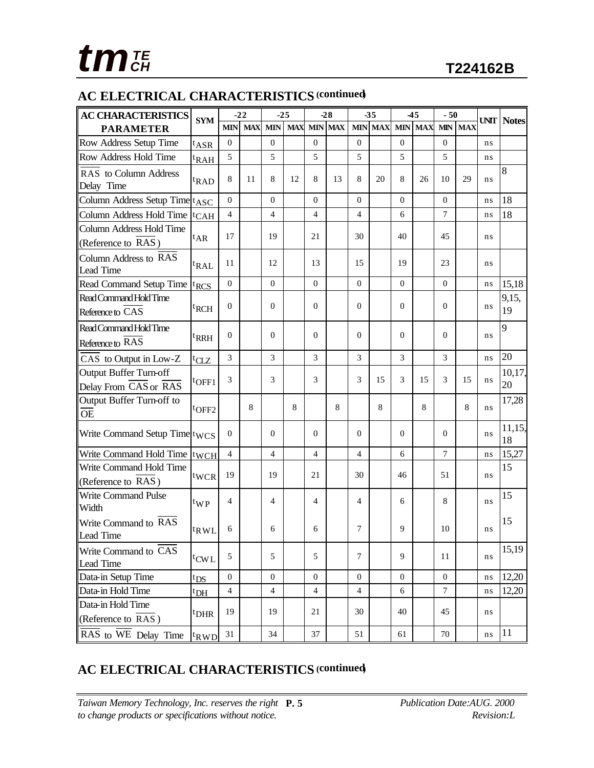# **AC ELECTRICAL CHARACTERISTICS (continued)**

| <b>AC CHARACTERISTICS</b>                              |                     |                | $-22$      |                | $-25$ |                | $-28$              |                | $-35$          |                | $-45$          | $-50$          |            |                |                   |
|--------------------------------------------------------|---------------------|----------------|------------|----------------|-------|----------------|--------------------|----------------|----------------|----------------|----------------|----------------|------------|----------------|-------------------|
| <b>PARAMETER</b>                                       | <b>SYM</b>          | <b>MIN</b>     | <b>MAX</b> | <b>MIN</b>     |       |                | <b>MAX MIN MAX</b> |                | <b>MIN MAX</b> |                | <b>MIN MAX</b> | <b>MIN</b>     | <b>MAX</b> |                | <b>UNIT Notes</b> |
| Row Address Setup Time                                 | $t_{\rm ASR}$       | $\Omega$       |            | $\mathbf{0}$   |       | $\Omega$       |                    | $\Omega$       |                | $\Omega$       |                | $\Omega$       |            | n <sub>s</sub> |                   |
| Row Address Hold Time                                  | ${}^t$ RAH          | 5              |            | 5              |       | 5              |                    | 5              |                | 5              |                | 5              |            | ns             |                   |
| RAS to Column Address<br>Delay Time                    | ${}^t$ RAD          | 8              | 11         | 8              | 12    | 8              | 13                 | 8              | 20             | 8              | 26             | 10             | 29         | ns             | 8                 |
| Column Address Setup Time tASC                         |                     | $\Omega$       |            | $\overline{0}$ |       | $\Omega$       |                    | $\Omega$       |                | $\Omega$       |                | $\overline{0}$ |            | ns             | 18                |
| Column Address Hold Time  t <sub>CAH</sub>             |                     | 4              |            | 4              |       | 4              |                    | 4              |                | 6              |                | 7              |            | ns             | 18                |
| <b>Column Address Hold Time</b><br>(Reference to RAS)  | $t_{AR}$            | 17             |            | 19             |       | 21             |                    | 30             |                | 40             |                | 45             |            | ns             |                   |
| Column Address to RAS<br><b>Lead Time</b>              | ${}^{\text{t}}$ RAL | 11             |            | 12             |       | 13             |                    | 15             |                | 19             |                | 23             |            | ns             |                   |
| Read Command Setup Time                                | ${}^t$ RCS          | $\Omega$       |            | $\overline{0}$ |       | $\Omega$       |                    | $\overline{0}$ |                | $\overline{0}$ |                | $\overline{0}$ |            | ns             | 15,18             |
| Read Command Hold Time<br>Reference to CAS             | <sup>t</sup> RCH    | $\overline{0}$ |            | $\overline{0}$ |       | $\Omega$       |                    | $\Omega$       |                | $\mathbf{0}$   |                | $\Omega$       |            | ns             | 9,15,<br>19       |
| Read Command Hold Time<br>Reference to RAS             | ${}^t$ RRH          | $\mathbf{0}$   |            | $\overline{0}$ |       | $\Omega$       |                    | $\overline{0}$ |                | $\overline{0}$ |                | $\Omega$       |            | ns             | $\mathbf Q$       |
| CAS to Output in Low-Z                                 | ${}^tCLZ$           | 3              |            | 3              |       | 3              |                    | 3              |                | $\overline{3}$ |                | 3              |            | ns             | 20                |
| <b>Output Buffer Turn-off</b><br>Delay From CAS or RAS | ${}^t$ OFF1         | 3              |            | 3              |       | 3              |                    | 3              | 15             | 3              | 15             | 3              | 15         | ns             | 10,17,<br>20      |
| Output Buffer Turn-off to<br><b>OE</b>                 | $t$ OFF2            |                | 8          |                | 8     |                | 8                  |                | 8              |                | 8              |                | 8          | ns             | 17,28             |
| Write Command Setup Time twcs                          |                     | $\Omega$       |            | $\Omega$       |       | $\Omega$       |                    | $\Omega$       |                | $\Omega$       |                | $\Omega$       |            | n <sub>s</sub> | 11,15,<br>18      |
| Write Command Hold Time  twCH                          |                     | 4              |            | 4              |       | 4              |                    | 4              |                | 6              |                | $\overline{7}$ |            | ns             | 15,27             |
| Write Command Hold Time<br>(Reference to RAS)          | twcR                | 19             |            | 19             |       | 21             |                    | 30             |                | 46             |                | 51             |            | ns             | 15                |
| Write Command Pulse<br>Width                           | $t_{WP}$            | 4              |            | $\overline{4}$ |       | 4              |                    | 4              |                | 6              |                | 8              |            | ns             | 15                |
| Write Command to RAS<br>Lead Time                      | ${}^tRWL$           | 6              |            | 6              |       | 6              |                    | 7              |                | 9              |                | 10             |            | ns             | 15                |
| Write Command to CAS<br>Lead Time                      | ${}^t$ CWL          | 5              |            | 5              |       | 5              |                    | $\tau$         |                | 9              |                | 11             |            | ns             | 15,19             |
| Data-in Setup Time                                     | $t_{DS}$            | $\mathbf{0}$   |            | $\mathbf{0}$   |       | $\overline{0}$ |                    | $\overline{0}$ |                | $\overline{0}$ |                | $\overline{0}$ |            | ns             | 12,20             |
| Data-in Hold Time                                      | ${}^t$ DH           | $\overline{4}$ |            | $\overline{4}$ |       | 4              |                    | $\overline{4}$ |                | 6              |                | $\overline{7}$ |            | ns             | 12,20             |
| Data-in Hold Time<br>(Reference to RAS)                | $t$ DHR             | 19             |            | 19             |       | 21             |                    | 30             |                | 40             |                | 45             |            | ns             |                   |
| RAS to WE Delay Time                                   | ${}^tRWD$           | 31             |            | 34             |       | 37             |                    | 51             |                | 61             |                | 70             |            | ns             | 11                |

# **AC ELECTRICAL CHARACTERISTICS (continued)**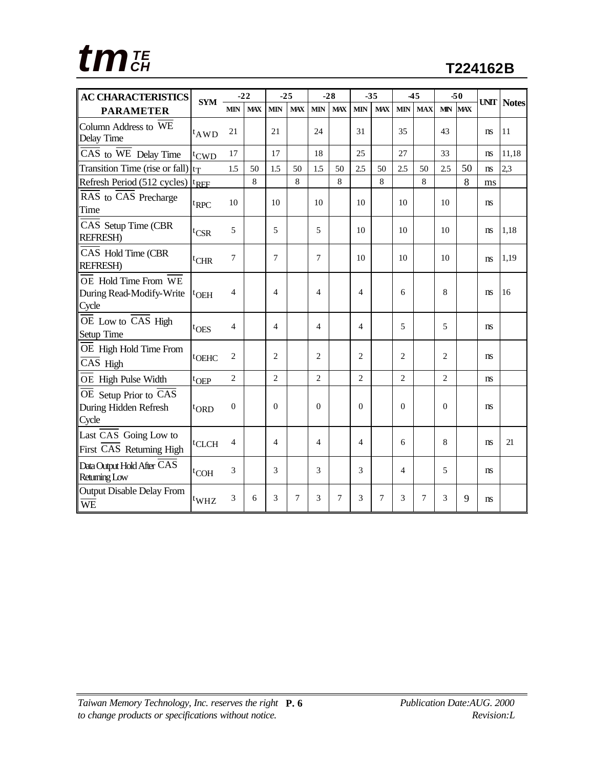

| <b>AC CHARACTERISTICS</b>                                 | <b>SYM</b>          |                | $-22$      | $-25$          |            | $-28$          |            |                | $-35$      |                | $-45$      |                | $-50$      |               |                   |
|-----------------------------------------------------------|---------------------|----------------|------------|----------------|------------|----------------|------------|----------------|------------|----------------|------------|----------------|------------|---------------|-------------------|
| <b>PARAMETER</b>                                          |                     | <b>MIN</b>     | <b>MAX</b> | <b>MIN</b>     | <b>MAX</b> | <b>MIN</b>     | <b>MAX</b> | <b>MIN</b>     | <b>MAX</b> | <b>MIN</b>     | <b>MAX</b> | <b>MN</b>      | <b>MAX</b> |               | <b>UNIT Notes</b> |
| Column Address to WE<br>Delay Time                        | ${}^{\text{t}}$ AWD | 21             |            | 21             |            | 24             |            | 31             |            | 35             |            | 43             |            | ns            | 11                |
| CAS to WE Delay Time                                      | ${}^t$ CWD          | 17             |            | 17             |            | 18             |            | 25             |            | 27             |            | 33             |            | ns            | 11,18             |
| Transition Time (rise or fall)                            | $ t_T $             | 1.5            | 50         | 1.5            | 50         | 1.5            | 50         | 2.5            | 50         | 2.5            | 50         | 2.5            | 50         | ns            | 2,3               |
| Refresh Period (512 cycles)                               | t <sub>REF</sub>    |                | 8          |                | 8          |                | 8          |                | 8          |                | 8          |                | 8          | ms            |                   |
| RAS to CAS Precharge<br>Time                              | $t_{RPC}$           | 10             |            | 10             |            | 10             |            | 10             |            | 10             |            | 10             |            | ns            |                   |
| CAS Setup Time (CBR<br><b>REFRESH)</b>                    | ${}^t$ CSR          | 5              |            | 5              |            | 5              |            | 10             |            | 10             |            | 10             |            | ns            | 1,18              |
| CAS Hold Time (CBR<br><b>REFRESH)</b>                     | ${}^t$ CHR          | 7              |            | 7              |            | 7              |            | 10             |            | 10             |            | 10             |            | ns            | 1,19              |
| OE Hold Time From WE<br>During Read-Modify-Write<br>Cycle | $t$ OEH             | 4              |            | $\overline{4}$ |            | 4              |            | 4              |            | 6              |            | 8              |            | ns            | 16                |
| OE Low to CAS High<br>Setup Time                          | $t$ OES             | 4              |            | $\overline{4}$ |            | 4              |            | $\overline{4}$ |            | 5              |            | 5              |            | ns.           |                   |
| OE High Hold Time From<br>CAS High                        | tOEHC               | 2              |            | $\overline{c}$ |            | 2              |            | $\overline{c}$ |            | $\overline{c}$ |            | $\overline{c}$ |            | ns            |                   |
| OE High Pulse Width                                       | $t$ OEP             | $\overline{2}$ |            | $\overline{2}$ |            | $\overline{2}$ |            | $\overline{2}$ |            | $\overline{c}$ |            | $\overline{2}$ |            | <sub>ns</sub> |                   |
| OE Setup Prior to CAS<br>During Hidden Refresh<br>Cycle   | $t$ ORD             | $\Omega$       |            | $\Omega$       |            | $\Omega$       |            | $\Omega$       |            | $\Omega$       |            | $\Omega$       |            | ns            |                   |
| Last CAS Going Low to<br>First CAS Returning High         | tCLCH               | 4              |            | $\overline{4}$ |            | 4              |            | 4              |            | 6              |            | 8              |            | ns            | 21                |
| Data Output Hold After CAS<br>Returning Low               | $t$ COH             | 3              |            | 3              |            | 3              |            | 3              |            | $\overline{4}$ |            | 5              |            | ns            |                   |
| <b>Output Disable Delay From</b><br>WE                    | $t_{WHZ}$           | 3              | 6          | 3              | 7          | 3              | 7          | 3              | 7          | 3              | 7          | 3              | 9          | <sub>ns</sub> |                   |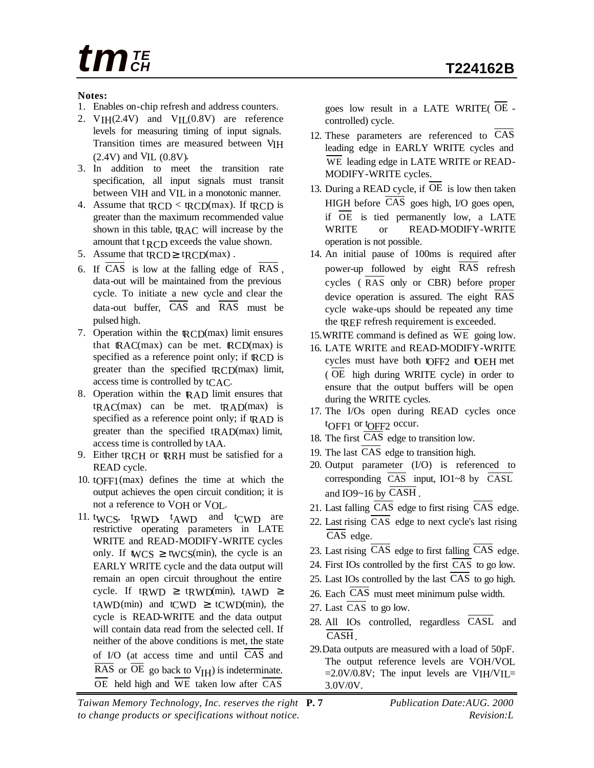# *TE tmCH* **T224162B**

#### **Notes:**

- 1. Enables on-chip refresh and address counters.
- 2.  $V<sub>IH</sub>(2.4V)$  and  $V<sub>II</sub>(0.8V)$  are reference levels for measuring timing of input signals. Transition times are measured between VIH  $(2.4V)$  and  $VII$ ,  $(0.8V)$ .
- 3. In addition to meet the transition rate specification, all input signals must transit between VIH and VIL in a monotonic manner.
- 4. Assume that  $tRCD \leq tRCD$  (max). If  $tRCD$  is greater than the maximum recommended value shown in this table, tRAC will increase by the amount that  $t_{\text{RCD}}$  exceeds the value shown.
- 5. Assume that  $tRCD \geq tRCD(max)$ .
- 6. If CAS is low at the falling edge of  $\overline{RAS}$ . data-out will be maintained from the previous cycle. To initiate a new cycle and clear the data-out buffer,  $\overline{CAS}$  and  $\overline{RAS}$  must be pulsed high.
- 7. Operation within the tRCD(max) limit ensures that  $RAC(max)$  can be met.  $RCD(max)$  is specified as a reference point only; if  $RCD$  is greater than the specified  $t_{\text{RCD}}(max)$  limit, access time is controlled by tCAC.
- 8. Operation within the RAD limit ensures that  $tRAC(max)$  can be met.  $tRAD(max)$  is specified as a reference point only; if  ${\rm t}{\rm R}{\rm A}{\rm D}$  is greater than the specified tRAD(max) limit, access time is controlled by tAA.
- 9. Either tRCH or tRRH must be satisfied for a READ cycle.
- 10. tOFF1(max) defines the time at which the output achieves the open circuit condition; it is not a reference to VOH or VOL.
- 11. twcs, t<sub>RWD</sub>, t<sub>AWD</sub> and t<sub>CWD</sub> are restrictive operating parameters in LATE WRITE and READ-MODIFY-WRITE cycles only. If  $WCS \geq tWCS$  (min), the cycle is an EARLY WRITE cycle and the data output will remain an open circuit throughout the entire cycle. If  $tRWD \geq tRWD/min$ ,  $tAWD \geq$  $tAWD(min)$  and  $tCWD \geq tCWD(min)$ , the cycle is READ-WRITE and the data output will contain data read from the selected cell. If neither of the above conditions is met, the state of I/O (at access time and until CAS and  $\overline{\text{RAS}}$  or  $\overline{\text{OE}}$  go back to  $V_{\text{IH}}$ ) is indeterminate.  $\overline{OE}$  held high and  $\overline{WE}$  taken low after  $\overline{CAS}$

goes low result in a LATE WRITE( $\overline{OE}$  controlled) cycle.

- 12. These parameters are referenced to  $\overline{CAS}$ leading edge in EARLY WRITE cycles and WE leading edge in LATE WRITE or READ-MODIFY-WRITE cycles.
- 13. During a READ cycle, if  $\overline{OE}$  is low then taken HIGH before CAS goes high, I/O goes open, if  $\overline{OE}$  is tied permanently low, a LATE WRITE or READ-MODIFY-WRITE operation is not possible.
- 14. An initial pause of 100ms is required after power-up followed by eight RAS refresh cycles ( RAS only or CBR) before proper device operation is assured. The eight RAS cycle wake-ups should be repeated any time the tREF refresh requirement is exceeded.
- 15.WRITE command is defined as  $\overline{WE}$  going low.
- 16. LATE WRITE and READ-MODIFY-WRITE cycles must have both tOFF2 and tOEH met ( OE high during WRITE cycle) in order to ensure that the output buffers will be open during the WRITE cycles.
- 17. The I/Os open during READ cycles once tOFF1 or tOFF2 occur.
- 18. The first CAS edge to transition low.
- 19. The last  $\overline{CAS}$  edge to transition high.
- 20. Output parameter (I/O) is referenced to corresponding  $\overline{CAS}$  input, IO1~8 by CASL and IO9~16 by  $\overline{CASH}$ .
- 21. Last falling  $\overline{CAS}$  edge to first rising  $\overline{CAS}$  edge.
- 22. Last rising  $\overline{CAS}$  edge to next cycle's last rising  $\overline{\text{CAS}}$  edge.
- 23. Last rising CAS edge to first falling CAS edge.
- 24. First IOs controlled by the first  $\overline{CAS}$  to go low.
- 25. Last IOs controlled by the last  $\overline{CAS}$  to go high.
- 26. Each  $\overline{CAS}$  must meet minimum pulse width.
- 27. Last  $\overline{CAS}$  to go low.
- 28. All IOs controlled, regardless  $\overline{CASL}$  and CASH.
- 29.Data outputs are measured with a load of 50pF. The output reference levels are VOH/VOL  $=2.0V/0.8V$ ; The input levels are VIH/VIL= 3.0V/0V.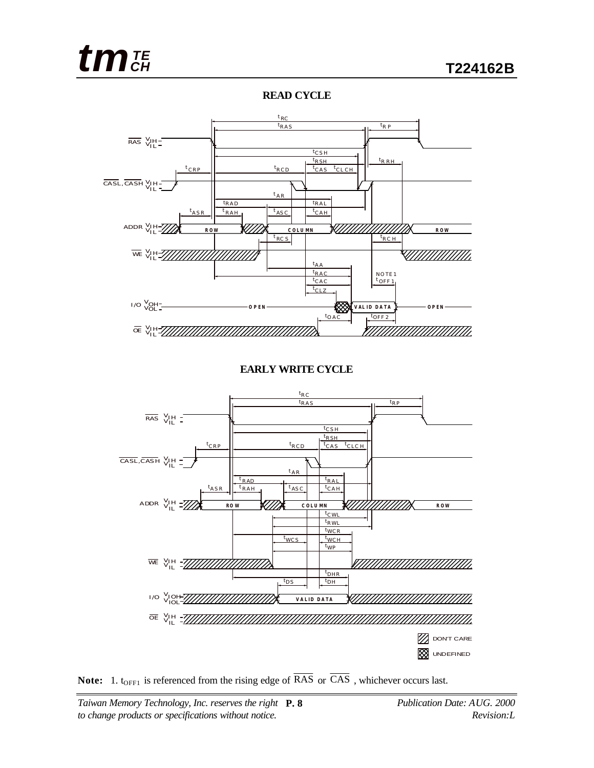#### **READ CYCLE**



**EARLY WRITE CYCLE**



**Note:** 1.  $t_{\text{OFF1}}$  is referenced from the rising edge of  $\overline{RAS}$  or  $\overline{CAS}$ , whichever occurs last.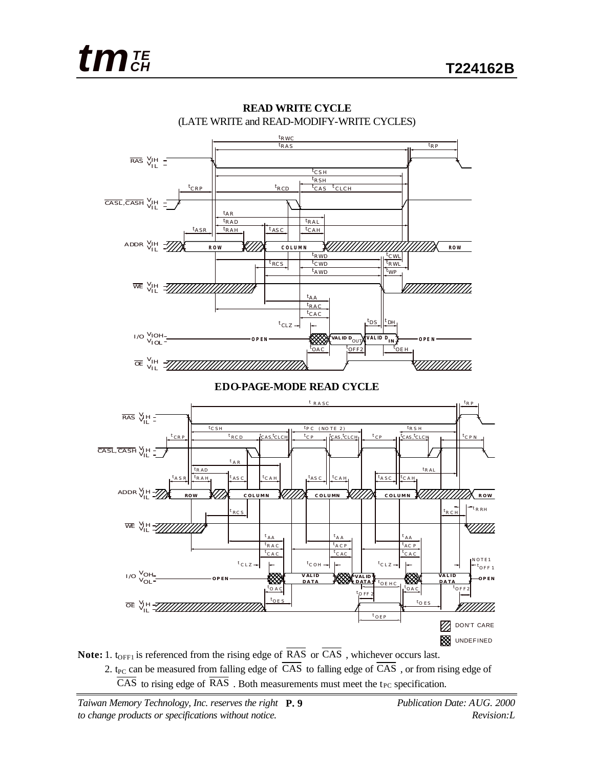



**READ WRITE CYCLE** (LATE WRITE and READ-MODIFY-WRITE CYCLES)

**Note:** 1.  $t_{\text{OFF1}}$  is referenced from the rising edge of  $\overline{RAS}$  or  $\overline{CAS}$  , whichever occurs last.

2. t<sub>PC</sub> can be measured from falling edge of  $\overline{CAS}$  to falling edge of  $\overline{CAS}$  , or from rising edge of  $\overline{CAS}$  to rising edge of  $\overline{RAS}$  . Both measurements must meet the t<sub>PC</sub> specification.

*Taiwan Memory Technology, Inc. reserves the right* **P. 9** *Publication Date: AUG. 2000 to change products or specifications without notice. Revision:L*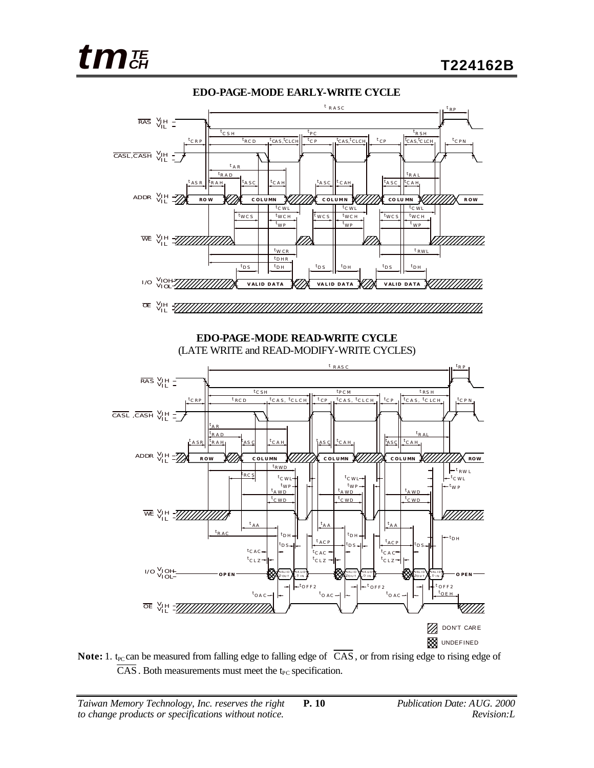



#### **EDO-PAGE-MODE EARLY-WRITE CYCLE**



**Note:** 1.  $t_{\text{PC}}$  can be measured from falling edge to falling edge of  $\overline{CAS}$ , or from rising edge to rising edge of  $\overline{CAS}$ . Both measurements must meet the t<sub>PC</sub> specification.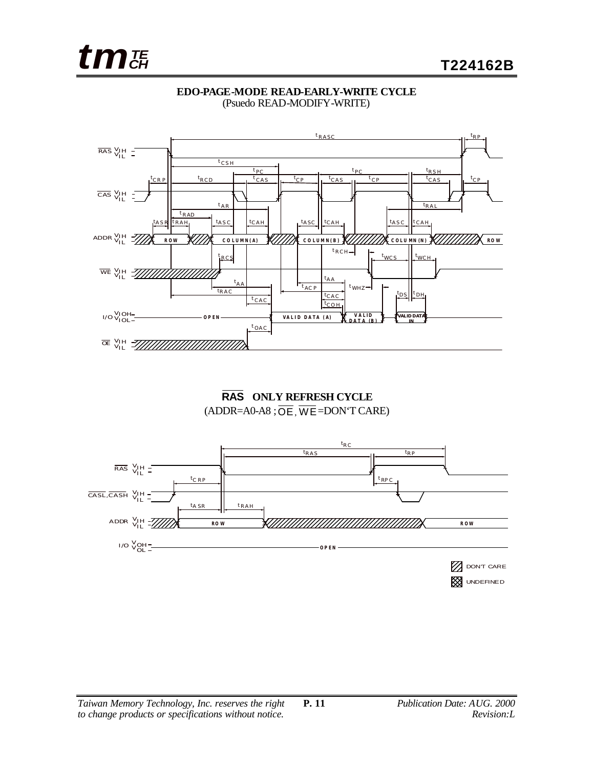



#### **EDO-PAGE-MODE READ-EARLY-WRITE CYCLE** (Psuedo READ-MODIFY-WRITE)

**RAS ONLY REFRESH CYCLE**  $(ADDR = A0-A8 ; \overline{OE}, \overline{WE} = DON'T CARE)$ 

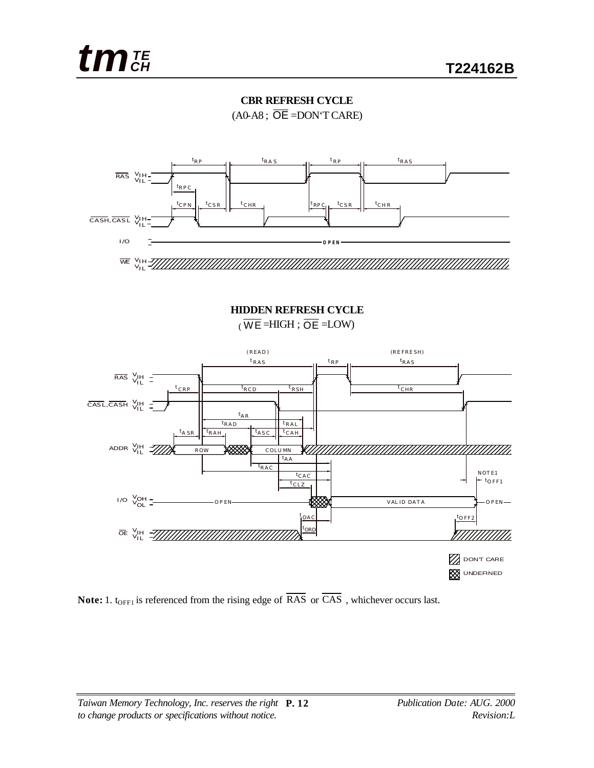#### **CBR REFRESH CYCLE**

 $(AO-AS; \overline{OE} = DON'T CARE)$ 



**HIDDEN REFRESH CYCLE**  $\overline{(\overline{WE}} = HIGH ; \overline{OE} = LOW)$ 



**Note:** 1.  $t_{\text{OFF1}}$  is referenced from the rising edge of  $\overline{RAS}$  or  $\overline{CAS}$ , whichever occurs last.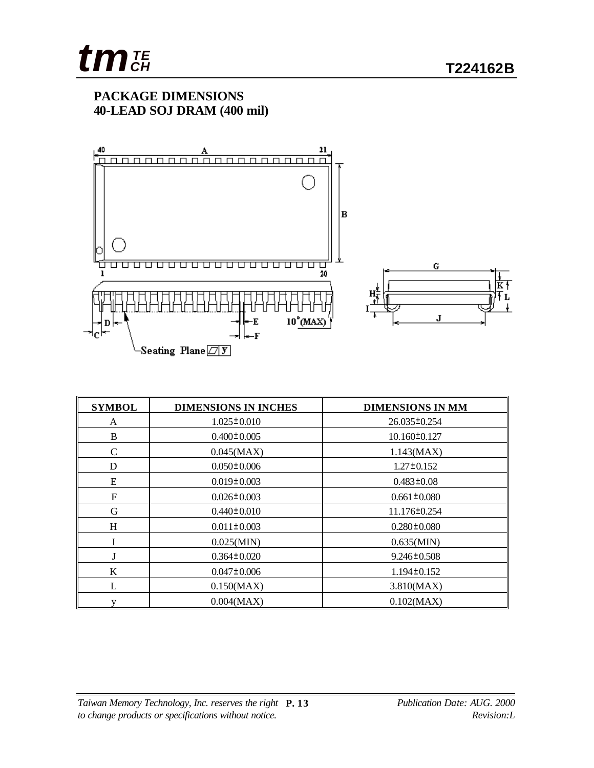

#### **PACKAGE DIMENSIONS 40-LEAD SOJ DRAM (400 mil)**



| <b>SYMBOL</b> | <b>DIMENSIONS IN INCHES</b> | <b>DIMENSIONS IN MM</b> |
|---------------|-----------------------------|-------------------------|
| A             | $1.025 \pm 0.010$           | 26.035±0.254            |
| B             | $0.400 \pm 0.005$           | $10.160\pm0.127$        |
| $\mathbf C$   | 0.045(MAX)                  | 1.143(MAX)              |
| D             | $0.050 \pm 0.006$           | $1.27 \pm 0.152$        |
| E             | $0.019 \pm 0.003$           | $0.483 \pm 0.08$        |
| ${\rm F}$     | $0.026 \pm 0.003$           | $0.661 \pm 0.080$       |
| G             | $0.440 \pm 0.010$           | 11.176±0.254            |
| H             | $0.011 \pm 0.003$           | $0.280 \pm 0.080$       |
|               | 0.025(MIN)                  | 0.635(MIN)              |
| J             | $0.364 \pm 0.020$           | $9.246 \pm 0.508$       |
| K             | $0.047 \pm 0.006$           | $1.194 \pm 0.152$       |
| L             | 0.150(MAX)                  | 3.810(MAX)              |
|               | 0.004(MAX)                  | 0.102(MAX)              |